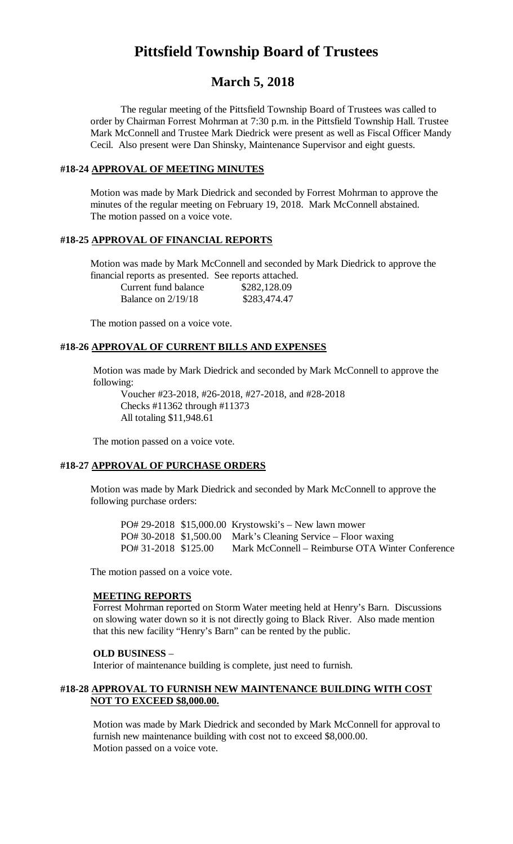# **Pittsfield Township Board of Trustees**

# **March 5, 2018**

The regular meeting of the Pittsfield Township Board of Trustees was called to order by Chairman Forrest Mohrman at 7:30 p.m. in the Pittsfield Township Hall. Trustee Mark McConnell and Trustee Mark Diedrick were present as well as Fiscal Officer Mandy Cecil. Also present were Dan Shinsky, Maintenance Supervisor and eight guests.

#### **#18-24 APPROVAL OF MEETING MINUTES**

Motion was made by Mark Diedrick and seconded by Forrest Mohrman to approve the minutes of the regular meeting on February 19, 2018. Mark McConnell abstained. The motion passed on a voice vote.

#### **#18-25 APPROVAL OF FINANCIAL REPORTS**

Motion was made by Mark McConnell and seconded by Mark Diedrick to approve the financial reports as presented. See reports attached.

Current fund balance \$282,128.09 Balance on 2/19/18 \$283,474.47

The motion passed on a voice vote.

#### **#18-26 APPROVAL OF CURRENT BILLS AND EXPENSES**

Motion was made by Mark Diedrick and seconded by Mark McConnell to approve the following:

Voucher #23-2018, #26-2018, #27-2018, and #28-2018 Checks #11362 through #11373 All totaling \$11,948.61

The motion passed on a voice vote.

#### **#18-27 APPROVAL OF PURCHASE ORDERS**

Motion was made by Mark Diedrick and seconded by Mark McConnell to approve the following purchase orders:

PO# 29-2018 \$15,000.00 Krystowski's – New lawn mower PO# 30-2018 \$1,500.00 Mark's Cleaning Service – Floor waxing PO# 31-2018 \$125.00 Mark McConnell – Reimburse OTA Winter Conference

The motion passed on a voice vote.

#### **MEETING REPORTS**

Forrest Mohrman reported on Storm Water meeting held at Henry's Barn. Discussions on slowing water down so it is not directly going to Black River. Also made mention that this new facility "Henry's Barn" can be rented by the public.

#### **OLD BUSINESS** –

Interior of maintenance building is complete, just need to furnish.

#### **#18-28 APPROVAL TO FURNISH NEW MAINTENANCE BUILDING WITH COST NOT TO EXCEED \$8,000.00.**

Motion was made by Mark Diedrick and seconded by Mark McConnell for approval to furnish new maintenance building with cost not to exceed \$8,000.00. Motion passed on a voice vote.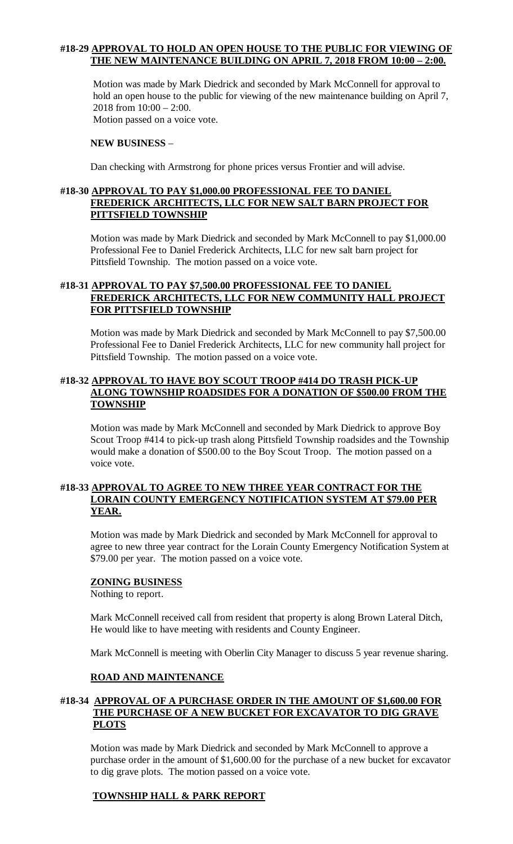# **#18-29 APPROVAL TO HOLD AN OPEN HOUSE TO THE PUBLIC FOR VIEWING OF THE NEW MAINTENANCE BUILDING ON APRIL 7, 2018 FROM 10:00 – 2:00.**

Motion was made by Mark Diedrick and seconded by Mark McConnell for approval to hold an open house to the public for viewing of the new maintenance building on April 7, 2018 from 10:00 – 2:00. Motion passed on a voice vote.

#### **NEW BUSINESS** –

Dan checking with Armstrong for phone prices versus Frontier and will advise.

#### **#18-30 APPROVAL TO PAY \$1,000.00 PROFESSIONAL FEE TO DANIEL FREDERICK ARCHITECTS, LLC FOR NEW SALT BARN PROJECT FOR PITTSFIELD TOWNSHIP**

Motion was made by Mark Diedrick and seconded by Mark McConnell to pay \$1,000.00 Professional Fee to Daniel Frederick Architects, LLC for new salt barn project for Pittsfield Township. The motion passed on a voice vote.

## **#18-31 APPROVAL TO PAY \$7,500.00 PROFESSIONAL FEE TO DANIEL FREDERICK ARCHITECTS, LLC FOR NEW COMMUNITY HALL PROJECT FOR PITTSFIELD TOWNSHIP**

Motion was made by Mark Diedrick and seconded by Mark McConnell to pay \$7,500.00 Professional Fee to Daniel Frederick Architects, LLC for new community hall project for Pittsfield Township. The motion passed on a voice vote.

#### **#18-32 APPROVAL TO HAVE BOY SCOUT TROOP #414 DO TRASH PICK-UP ALONG TOWNSHIP ROADSIDES FOR A DONATION OF \$500.00 FROM THE TOWNSHIP**

Motion was made by Mark McConnell and seconded by Mark Diedrick to approve Boy Scout Troop #414 to pick-up trash along Pittsfield Township roadsides and the Township would make a donation of \$500.00 to the Boy Scout Troop. The motion passed on a voice vote.

#### **#18-33 APPROVAL TO AGREE TO NEW THREE YEAR CONTRACT FOR THE LORAIN COUNTY EMERGENCY NOTIFICATION SYSTEM AT \$79.00 PER YEAR.**

Motion was made by Mark Diedrick and seconded by Mark McConnell for approval to agree to new three year contract for the Lorain County Emergency Notification System at \$79.00 per year. The motion passed on a voice vote.

#### **ZONING BUSINESS**

Nothing to report.

Mark McConnell received call from resident that property is along Brown Lateral Ditch, He would like to have meeting with residents and County Engineer.

Mark McConnell is meeting with Oberlin City Manager to discuss 5 year revenue sharing.

#### **ROAD AND MAINTENANCE**

#### **#18-34 APPROVAL OF A PURCHASE ORDER IN THE AMOUNT OF \$1,600.00 FOR THE PURCHASE OF A NEW BUCKET FOR EXCAVATOR TO DIG GRAVE PLOTS**

Motion was made by Mark Diedrick and seconded by Mark McConnell to approve a purchase order in the amount of \$1,600.00 for the purchase of a new bucket for excavator to dig grave plots. The motion passed on a voice vote.

# **TOWNSHIP HALL & PARK REPORT**